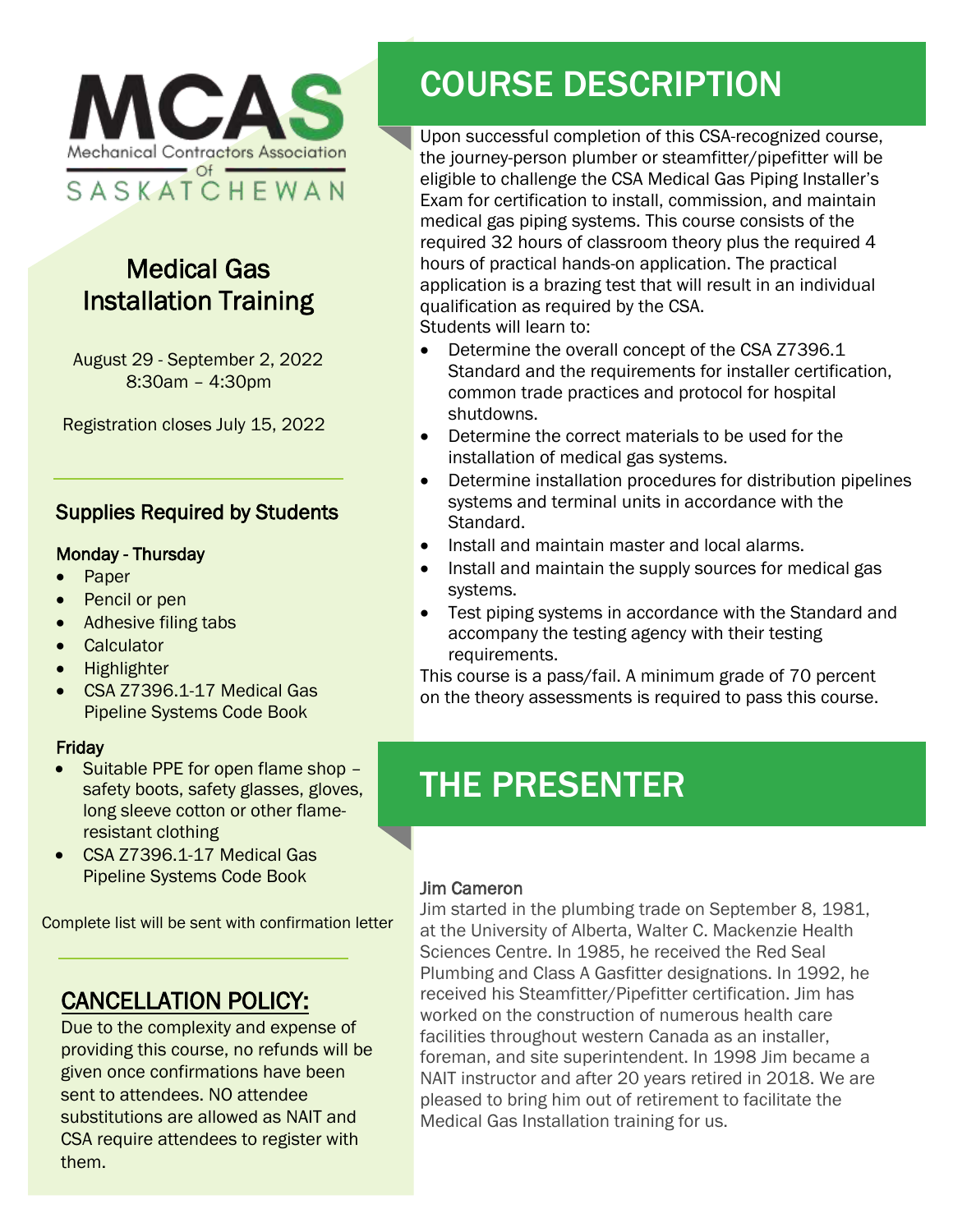

## Medical Gas Installation Training

August 29 - September 2, 2022 8:30am – 4:30pm

Registration closes July 15, 2022

#### Supplies Required by Students

#### Monday - Thursday

- Paper
- Pencil or pen
- Adhesive filing tabs
- Calculator
- Highlighter
- CSA Z7396.1-17 Medical Gas Pipeline Systems Code Book

#### **Friday**

- Suitable PPE for open flame shop safety boots, safety glasses, gloves, long sleeve cotton or other flameresistant clothing
- CSA Z7396.1-17 Medical Gas Pipeline Systems Code Book

Complete list will be sent with confirmation letter

### CANCELLATION POLICY:

Due to the complexity and expense of providing this course, no refunds will be given once confirmations have been sent to attendees. NO attendee substitutions are allowed as NAIT and CSA require attendees to register with them.

# COURSE DESCRIPTION

Upon successful completion of this CSA-recognized course, the journey-person plumber or steamfitter/pipefitter will be eligible to challenge the CSA Medical Gas Piping Installer's Exam for certification to install, commission, and maintain medical gas piping systems. This course consists of the required 32 hours of classroom theory plus the required 4 hours of practical hands-on application. The practical application is a brazing test that will result in an individual qualification as required by the CSA. Students will learn to:

- Determine the overall concept of the CSA Z7396.1 Standard and the requirements for installer certification, common trade practices and protocol for hospital shutdowns.
- Determine the correct materials to be used for the installation of medical gas systems.
- Determine installation procedures for distribution pipelines systems and terminal units in accordance with the Standard.
- Install and maintain master and local alarms.
- Install and maintain the supply sources for medical gas systems.
- Test piping systems in accordance with the Standard and accompany the testing agency with their testing requirements.

This course is a pass/fail. A minimum grade of 70 percent on the theory assessments is required to pass this course.

## THE PRESENTER

#### Jim Cameron

Jim started in the plumbing trade on September 8, 1981, at the University of Alberta, Walter C. Mackenzie Health Sciences Centre. In 1985, he received the Red Seal Plumbing and Class A Gasfitter designations. In 1992, he received his Steamfitter/Pipefitter certification. Jim has worked on the construction of numerous health care facilities throughout western Canada as an installer, foreman, and site superintendent. In 1998 Jim became a NAIT instructor and after 20 years retired in 2018. We are pleased to bring him out of retirement to facilitate the Medical Gas Installation training for us.